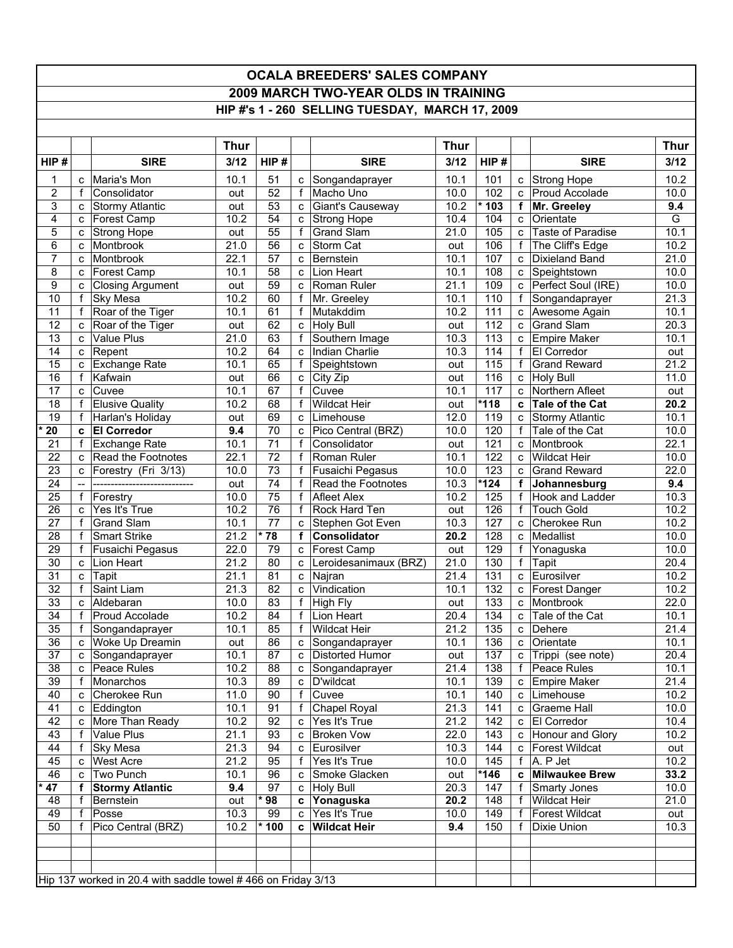## **OCALA BREEDERS' SALES COMPANY 2009 MARCH TWO-YEAR OLDS IN TRAINING HIP #'s 1 - 260 SELLING TUESDAY, MARCH 17, 2009**

|                 |              |                                                              | <b>Thur</b> |                 |                |                              | <b>Thur</b> |        |              |                           | Thur |
|-----------------|--------------|--------------------------------------------------------------|-------------|-----------------|----------------|------------------------------|-------------|--------|--------------|---------------------------|------|
| HIP#            |              | <b>SIRE</b>                                                  | 3/12        | HIP#            |                | <b>SIRE</b>                  | 3/12        | HIP#   |              | <b>SIRE</b>               | 3/12 |
| 1               | C            | Maria's Mon                                                  | 10.1        | 51              | $\mathbf{C}$   | Songandaprayer               | 10.1        | 101    |              | c Strong Hope             | 10.2 |
| 2               | f            | Consolidator                                                 | out         | $\overline{52}$ | f              | Macho Uno                    | 10.0        | 102    | C            | Proud Accolade            | 10.0 |
| 3               | c            | <b>Stormy Atlantic</b>                                       | out         | 53              | c              | Giant's Causeway             | 10.2        | * 103  | f            | Mr. Greeley               | 9.4  |
| 4               | C            | Forest Camp                                                  | 10.2        | $\overline{54}$ | C              | <b>Strong Hope</b>           | 10.4        | 104    | C            | Orientate                 | G    |
| 5               | c            | <b>Strong Hope</b>                                           | out         | $\overline{55}$ | f              | <b>Grand Slam</b>            | 21.0        | 105    | c            | Taste of Paradise         | 10.1 |
| 6               | C            | Montbrook                                                    | 21.0        | 56              | c              | Storm Cat                    | out         | 106    | f            | The Cliff's Edge          | 10.2 |
| 7               | C            | Montbrook                                                    | 22.1        | 57              | C              | Bernstein                    | 10.1        | 107    | $\mathbf{C}$ | Dixieland Band            | 21.0 |
| 8               | C            | Forest Camp                                                  | 10.1        | 58              | C              | Lion Heart                   | 10.1        | 108    | $\mathbf{C}$ | Speightstown              | 10.0 |
| 9               | c            | <b>Closing Argument</b>                                      | out         | 59              | C              | Roman Ruler                  | 21.1        | 109    | C            | Perfect Soul (IRE)        | 10.0 |
| 10              | f            | Sky Mesa                                                     | 10.2        | 60              | f              | Mr. Greeley                  | 10.1        | 110    | f            | Songandaprayer            | 21.3 |
| 11              | f            | Roar of the Tiger                                            | 10.1        | 61              | f              | Mutakddim                    | 10.2        | 111    | C            | Awesome Again             | 10.1 |
| 12              | C            | Roar of the Tiger                                            | out         | 62              | $\mathbf{C}$   | <b>Holy Bull</b>             | out         | 112    | $\mathbf{C}$ | <b>Grand Slam</b>         | 20.3 |
| $\overline{13}$ | c            | Value Plus                                                   | 21.0        | 63              | $\overline{f}$ | Southern Image               | 10.3        | 113    | C            | Empire Maker              | 10.1 |
| 14              | c            | Repent                                                       | 10.2        | 64              | C              | Indian Charlie               | 10.3        | 114    | $\mathsf{f}$ | El Corredor               | out  |
| 15              | C            | Exchange Rate                                                | 10.1        | 65              | f              | Speightstown                 | out         | 115    | f            | <b>Grand Reward</b>       | 21.2 |
| 16              | f            | Kafwain                                                      | out         | 66              | c              | City Zip                     | out         | 116    | $\mathbf{C}$ | <b>Holy Bull</b>          | 11.0 |
| 17              | c            | Cuvee                                                        | 10.1        | 67              | $\mathsf{f}$   | Cuvee                        | 10.1        | 117    | $\mathbf{C}$ | Northern Afleet           | out  |
| 18              | $\mathsf{f}$ | <b>Elusive Quality</b>                                       | 10.2        | 68              | $\mathbf{f}$   | <b>Wildcat Heir</b>          | out         | $*118$ | C            | Tale of the Cat           | 20.2 |
| 19              | f            | Harlan's Holiday                                             | out         | 69              | C              | Limehouse                    | 12.0        | 119    | C            | <b>Stormy Atlantic</b>    | 10.1 |
| 20              | c            | <b>El Corredor</b>                                           | 9.4         | 70              | $\mathbf{C}$   | Pico Central (BRZ)           | 10.0        | 120    | $\mathbf{f}$ | Tale of the Cat           | 10.0 |
| 21              | f            | Exchange Rate                                                | 10.1        | 71              | f              | Consolidator                 | out         | 121    | C            | Montbrook                 | 22.1 |
| 22              | c            | Read the Footnotes                                           | 22.1        | 72              | f              | Roman Ruler                  | 10.1        | 122    | C            | <b>Wildcat Heir</b>       | 10.0 |
| $\overline{23}$ | C            | Forestry (Fri 3/13)                                          | 10.0        | $\overline{73}$ | f              | Fusaichi Pegasus             | 10.0        | 123    | $\mathbf{C}$ | <b>Grand Reward</b>       | 22.0 |
| 24              |              |                                                              | out         | 74              | f              | Read the Footnotes           | 10.3        | $*124$ | $\mathbf{f}$ | Johannesburg              | 9.4  |
| 25              | f            | Forestry                                                     | 10.0        | $\overline{75}$ | f              | <b>Afleet Alex</b>           | 10.2        | 125    | $\mathsf{f}$ | Hook and Ladder           | 10.3 |
| 26              | c            | Yes It's True                                                | 10.2        | 76              | f              | Rock Hard Ten                | out         | 126    | f            | <b>Touch Gold</b>         | 10.2 |
| 27              | f            | <b>Grand Slam</b>                                            | 10.1        | 77              | C              | Stephen Got Even             | 10.3        | 127    | C            | Cherokee Run              | 10.2 |
| 28              | f            | <b>Smart Strike</b>                                          | 21.2        | * 78            | f              | <b>Consolidator</b>          | 20.2        | 128    | C            | Medallist                 | 10.0 |
| 29              | f            | Fusaichi Pegasus                                             | 22.0        | 79              | C              | Forest Camp                  | out         | 129    | f            | Yonaguska                 | 10.0 |
| 30              | c            | Lion Heart                                                   | 21.2        | 80              | C              | Leroidesanimaux (BRZ)        | 21.0        | 130    | f            | <b>Tapit</b>              | 20.4 |
| 31              | c            | Tapit                                                        | 21.1        | 81              | c              | Najran                       | 21.4        | 131    | C            | Eurosilver                | 10.2 |
| 32              | f            | Saint Liam                                                   | 21.3        | 82              | C.             | Vindication                  | 10.1        | 132    | $\mathbf{C}$ | Forest Danger             | 10.2 |
| 33              | c            | Aldebaran                                                    | 10.0        | 83              | f              | High Fly                     | out         | 133    | C            | Montbrook                 | 22.0 |
| $\overline{34}$ | $\mathsf{f}$ | Proud Accolade                                               | 10.2        | 84              | f              | Lion Heart                   | 20.4        | 134    | C            | Tale of the Cat           | 10.1 |
| 35              | f            | Songandaprayer                                               | 10.1        | 85              | f              | <b>Wildcat Heir</b>          | 21.2        | 135    | C            | Dehere                    | 21.4 |
| $\overline{36}$ | c            | Woke Up Dreamin                                              | out         | 86              | C              | Songandaprayer               | 10.1        | 136    | $\mathbf{C}$ | Orientate                 | 10.1 |
| 37              | $\mathbf{C}$ | Songandaprayer                                               | 10.1        | 87              |                | c Distorted Humor            | out         | 137    |              | c Trippi (see note)       | 20.4 |
| 38              | $\mathbf{c}$ | Peace Rules                                                  | 10.2        | 88              |                | c Songandaprayer             | 21.4        | 138    |              | f Peace Rules             | 10.1 |
| 39              | f            | Monarchos                                                    | 10.3        | 89              |                | c   D'wildcat                | 10.1        | 139    |              | c Empire Maker            | 21.4 |
| 40              | C            | Cherokee Run                                                 | 11.0        | 90              | f              | Cuvee                        | 10.1        | 140    |              | c Limehouse               | 10.2 |
| 41              | $\mathbf{C}$ | Eddington                                                    | 10.1        | 91              | $\mathsf{f}$   | <b>Chapel Royal</b>          | 21.3        | 141    |              | c Graeme Hall             | 10.0 |
| 42              |              | c More Than Ready                                            | 10.2        | 92              |                | $\overline{c}$ Yes It's True | 21.2        | 142    |              | c   El Corredor           | 10.4 |
| 43              | f            | Value Plus                                                   | 21.1        | 93              |                | c Broken Vow                 | 22.0        | 143    |              | c Honour and Glory        | 10.2 |
| 44              | f            | Sky Mesa                                                     | 21.3        | 94              |                | c Eurosilver                 | 10.3        | 144    |              | c   Forest Wildcat        | out  |
| 45              | C            | <b>West Acre</b>                                             | 21.2        | 95              | f              | Yes It's True                | 10.0        | 145    |              | $f \mid A. P \text{ Jet}$ | 10.2 |
| 46              | $\mathbf{C}$ | Two Punch                                                    | 10.1        | 96              | C              | Smoke Glacken                | out         | $*146$ | C            | <b>Milwaukee Brew</b>     | 33.2 |
| 47              | f            | <b>Stormy Atlantic</b>                                       | 9.4         | 97              |                | c Holy Bull                  | 20.3        | 147    | $\mathbf f$  | Smarty Jones              | 10.0 |
| 48              | f            | Bernstein                                                    | out         | * 98            |                | c Yonaguska                  | 20.2        | 148    | $\mathsf{f}$ | <b>Wildcat Heir</b>       | 21.0 |
| 49              | f            | Posse                                                        | 10.3        | 99              | $\mathsf{C}$   | Yes It's True                | 10.0        | 149    | $\mathbf f$  | <b>Forest Wildcat</b>     | out  |
| 50              | f            | Pico Central (BRZ)                                           | 10.2        | $*100$          |                | c Wildcat Heir               | 9.4         | 150    | f            | Dixie Union               | 10.3 |
|                 |              |                                                              |             |                 |                |                              |             |        |              |                           |      |
|                 |              |                                                              |             |                 |                |                              |             |        |              |                           |      |
|                 |              |                                                              |             |                 |                |                              |             |        |              |                           |      |
|                 |              | Hip 137 worked in 20.4 with saddle towel #466 on Friday 3/13 |             |                 |                |                              |             |        |              |                           |      |
|                 |              |                                                              |             |                 |                |                              |             |        |              |                           |      |